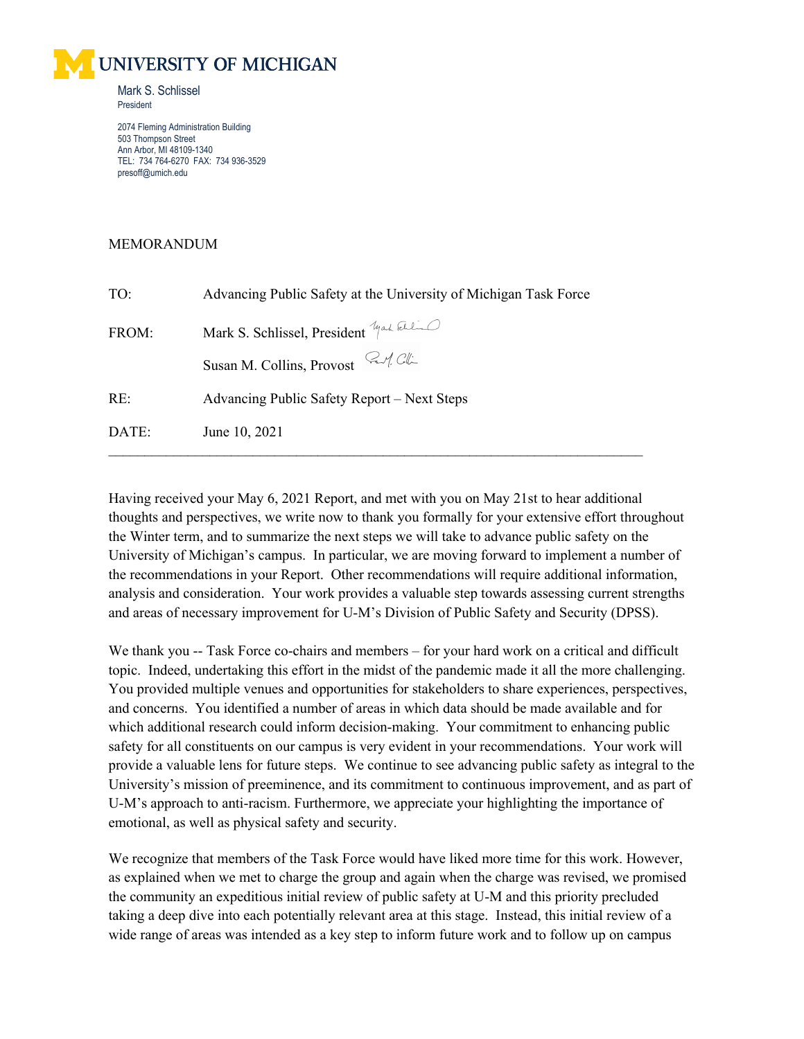

2074 Fleming Administration Building 503 Thompson Street Ann Arbor, MI 48109-1340 TEL: 734 764-6270 FAX: 734 936-3529 presoff@umich.edu

## MEMORANDUM

| TO:   | Advancing Public Safety at the University of Michigan Task Force |
|-------|------------------------------------------------------------------|
| FROM: | Mark S. Schlissel, President you kill                            |
|       | Susan M. Collins, Provost $\mathbb{Z}/\mathbb{Z}$                |
| RE:   | Advancing Public Safety Report – Next Steps                      |
| DATE: | June 10, 2021                                                    |
|       |                                                                  |

Having received your May 6, 2021 Report, and met with you on May 21st to hear additional thoughts and perspectives, we write now to thank you formally for your extensive effort throughout the Winter term, and to summarize the next steps we will take to advance public safety on the University of Michigan's campus. In particular, we are moving forward to implement a number of the recommendations in your Report. Other recommendations will require additional information, analysis and consideration. Your work provides a valuable step towards assessing current strengths and areas of necessary improvement for U-M's Division of Public Safety and Security (DPSS).

We thank you -- Task Force co-chairs and members – for your hard work on a critical and difficult topic. Indeed, undertaking this effort in the midst of the pandemic made it all the more challenging. You provided multiple venues and opportunities for stakeholders to share experiences, perspectives, and concerns. You identified a number of areas in which data should be made available and for which additional research could inform decision-making. Your commitment to enhancing public safety for all constituents on our campus is very evident in your recommendations. Your work will provide a valuable lens for future steps. We continue to see advancing public safety as integral to the University's mission of preeminence, and its commitment to continuous improvement, and as part of U-M's approach to anti-racism. Furthermore, we appreciate your highlighting the importance of emotional, as well as physical safety and security.

We recognize that members of the Task Force would have liked more time for this work. However, as explained when we met to charge the group and again when the charge was revised, we promised the community an expeditious initial review of public safety at U-M and this priority precluded taking a deep dive into each potentially relevant area at this stage. Instead, this initial review of a wide range of areas was intended as a key step to inform future work and to follow up on campus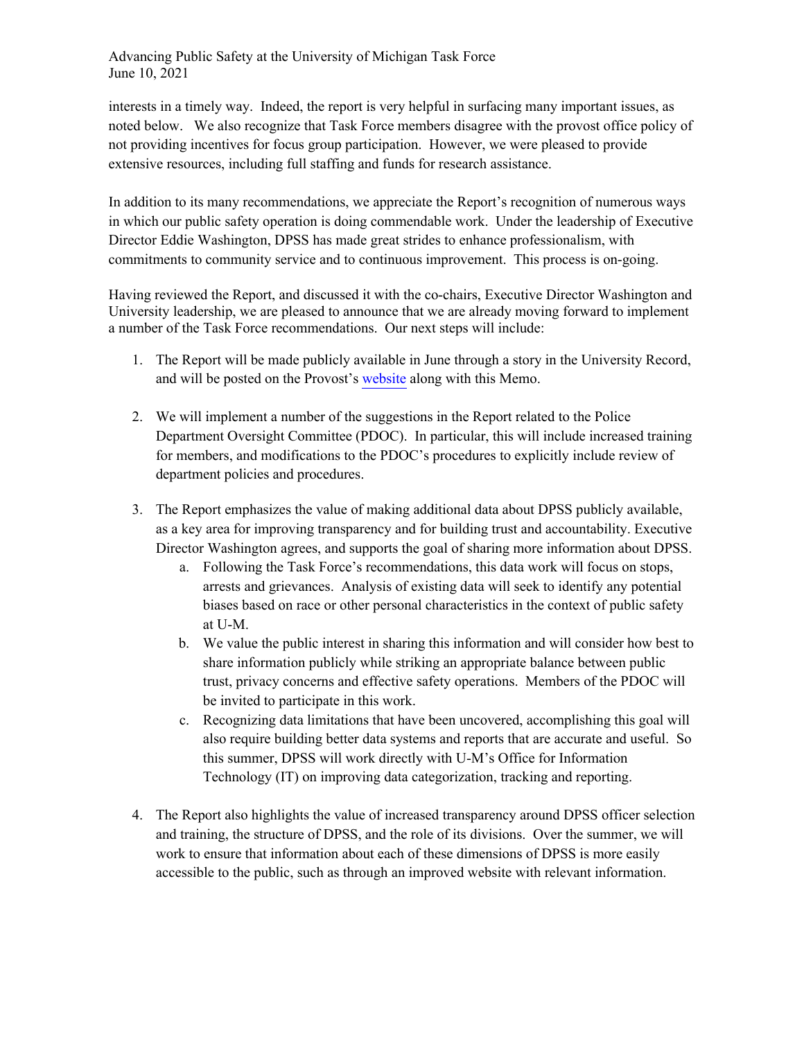Advancing Public Safety at the University of Michigan Task Force June 10, 2021

interests in a timely way. Indeed, the report is very helpful in surfacing many important issues, as noted below. We also recognize that Task Force members disagree with the provost office policy of not providing incentives for focus group participation. However, we were pleased to provide extensive resources, including full staffing and funds for research assistance.

In addition to its many recommendations, we appreciate the Report's recognition of numerous ways in which our public safety operation is doing commendable work. Under the leadership of Executive Director Eddie Washington, DPSS has made great strides to enhance professionalism, with commitments to community service and to continuous improvement. This process is on-going.

Having reviewed the Report, and discussed it with the co-chairs, Executive Director Washington and University leadership, we are pleased to announce that we are already moving forward to implement a number of the Task Force recommendations. Our next steps will include:

- 1. The Report will be made publicly available in June through a story in the University Record, and will be posted on the Provost's [website](http://provost.umich.edu/anti-racism/advancingpublicsafety.html) along with this Memo.
- 2. We will implement a number of the suggestions in the Report related to the Police Department Oversight Committee (PDOC). In particular, this will include increased training for members, and modifications to the PDOC's procedures to explicitly include review of department policies and procedures.
- 3. The Report emphasizes the value of making additional data about DPSS publicly available, as a key area for improving transparency and for building trust and accountability. Executive Director Washington agrees, and supports the goal of sharing more information about DPSS.
	- a. Following the Task Force's recommendations, this data work will focus on stops, arrests and grievances. Analysis of existing data will seek to identify any potential biases based on race or other personal characteristics in the context of public safety at U-M.
	- b. We value the public interest in sharing this information and will consider how best to share information publicly while striking an appropriate balance between public trust, privacy concerns and effective safety operations. Members of the PDOC will be invited to participate in this work.
	- c. Recognizing data limitations that have been uncovered, accomplishing this goal will also require building better data systems and reports that are accurate and useful. So this summer, DPSS will work directly with U-M's Office for Information Technology (IT) on improving data categorization, tracking and reporting.
- 4. The Report also highlights the value of increased transparency around DPSS officer selection and training, the structure of DPSS, and the role of its divisions. Over the summer, we will work to ensure that information about each of these dimensions of DPSS is more easily accessible to the public, such as through an improved website with relevant information.